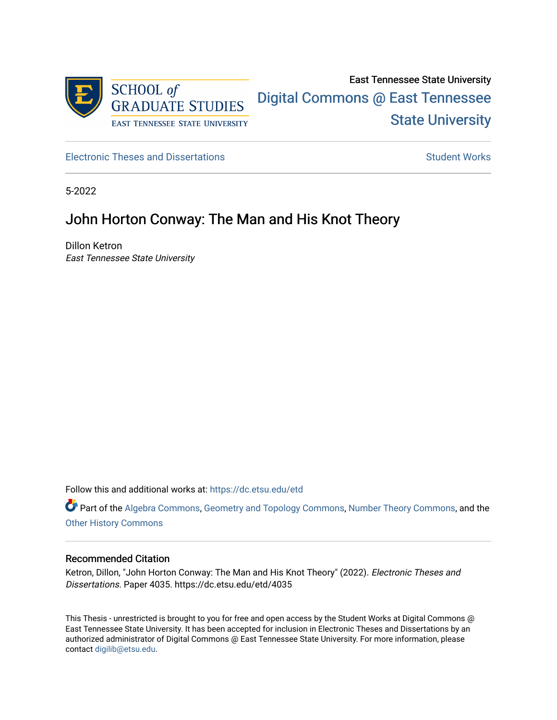

[Electronic Theses and Dissertations](https://dc.etsu.edu/etd) [Student Works](https://dc.etsu.edu/student-works) Student Works

5-2022

# John Horton Conway: The Man and His Knot Theory

Dillon Ketron East Tennessee State University

Follow this and additional works at: [https://dc.etsu.edu/etd](https://dc.etsu.edu/etd?utm_source=dc.etsu.edu%2Fetd%2F4035&utm_medium=PDF&utm_campaign=PDFCoverPages)

Part of the [Algebra Commons,](http://network.bepress.com/hgg/discipline/175?utm_source=dc.etsu.edu%2Fetd%2F4035&utm_medium=PDF&utm_campaign=PDFCoverPages) [Geometry and Topology Commons,](http://network.bepress.com/hgg/discipline/180?utm_source=dc.etsu.edu%2Fetd%2F4035&utm_medium=PDF&utm_campaign=PDFCoverPages) [Number Theory Commons,](http://network.bepress.com/hgg/discipline/183?utm_source=dc.etsu.edu%2Fetd%2F4035&utm_medium=PDF&utm_campaign=PDFCoverPages) and the [Other History Commons](http://network.bepress.com/hgg/discipline/508?utm_source=dc.etsu.edu%2Fetd%2F4035&utm_medium=PDF&utm_campaign=PDFCoverPages)

### Recommended Citation

Ketron, Dillon, "John Horton Conway: The Man and His Knot Theory" (2022). Electronic Theses and Dissertations. Paper 4035. https://dc.etsu.edu/etd/4035

This Thesis - unrestricted is brought to you for free and open access by the Student Works at Digital Commons @ East Tennessee State University. It has been accepted for inclusion in Electronic Theses and Dissertations by an authorized administrator of Digital Commons @ East Tennessee State University. For more information, please contact [digilib@etsu.edu](mailto:digilib@etsu.edu).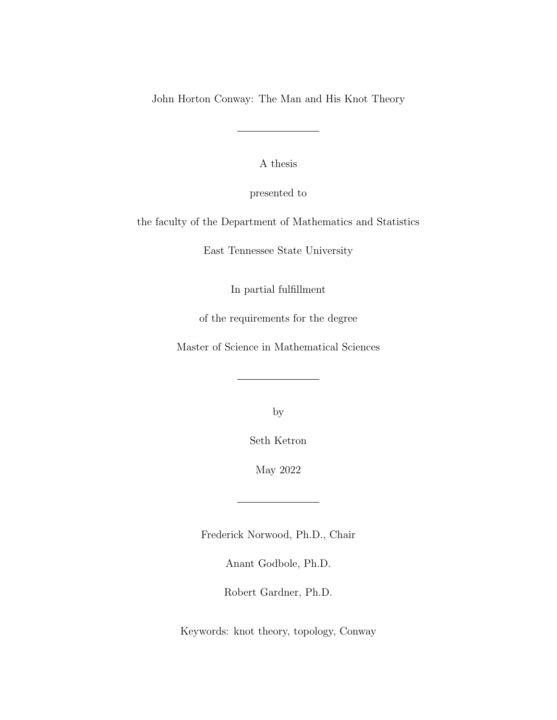John Horton Conway: The Man and His Knot Theory

A thesis

presented to

the faculty of the Department of Mathematics and Statistics

East Tennessee State University

In partial fulfillment

of the requirements for the degree

Master of Science in Mathematical Sciences

by

Seth Ketron

May 2022

Frederick Norwood, Ph.D., Chair

Anant Godbole, Ph.D.

Robert Gardner, Ph.D.

Keywords: knot theory, topology, Conway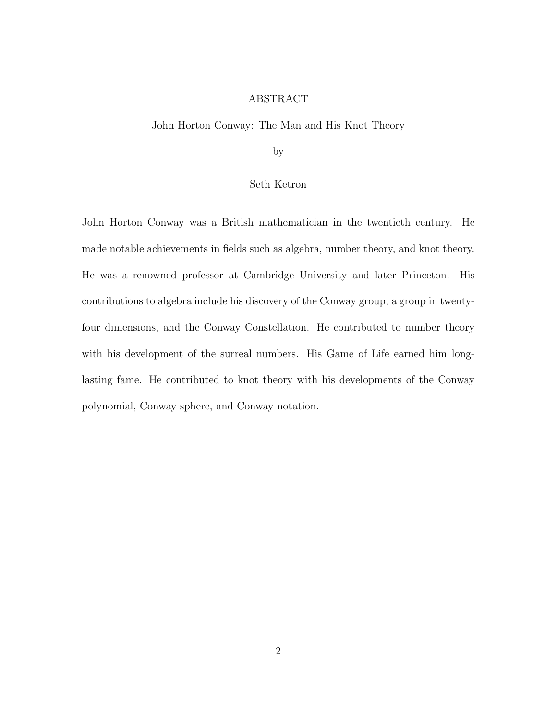## ABSTRACT

## John Horton Conway: The Man and His Knot Theory

by

## Seth Ketron

John Horton Conway was a British mathematician in the twentieth century. He made notable achievements in fields such as algebra, number theory, and knot theory. He was a renowned professor at Cambridge University and later Princeton. His contributions to algebra include his discovery of the Conway group, a group in twentyfour dimensions, and the Conway Constellation. He contributed to number theory with his development of the surreal numbers. His Game of Life earned him longlasting fame. He contributed to knot theory with his developments of the Conway polynomial, Conway sphere, and Conway notation.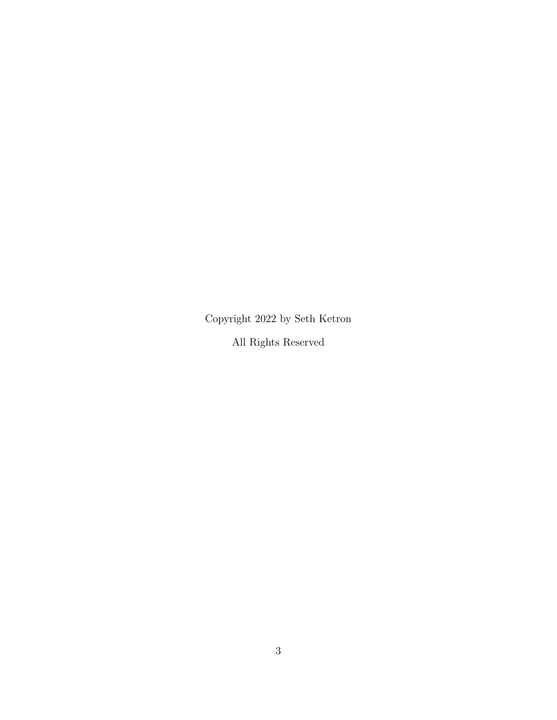Copyright 2022 by Seth Ketron All Rights Reserved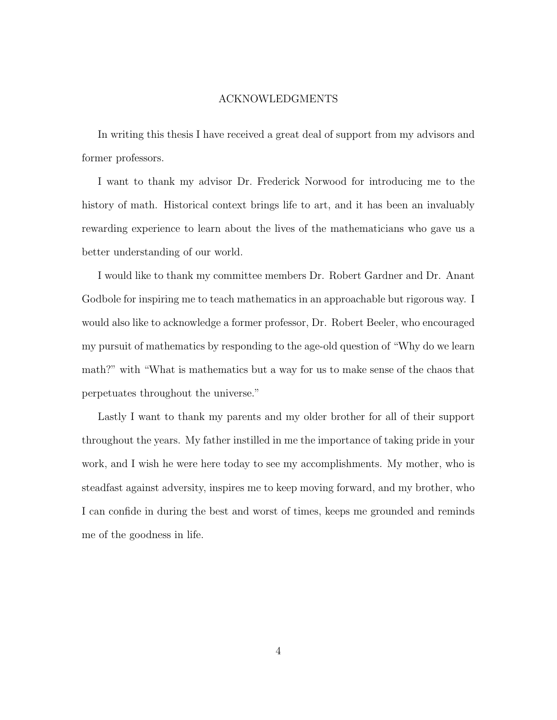#### ACKNOWLEDGMENTS

In writing this thesis I have received a great deal of support from my advisors and former professors.

I want to thank my advisor Dr. Frederick Norwood for introducing me to the history of math. Historical context brings life to art, and it has been an invaluably rewarding experience to learn about the lives of the mathematicians who gave us a better understanding of our world.

I would like to thank my committee members Dr. Robert Gardner and Dr. Anant Godbole for inspiring me to teach mathematics in an approachable but rigorous way. I would also like to acknowledge a former professor, Dr. Robert Beeler, who encouraged my pursuit of mathematics by responding to the age-old question of "Why do we learn math?" with "What is mathematics but a way for us to make sense of the chaos that perpetuates throughout the universe."

Lastly I want to thank my parents and my older brother for all of their support throughout the years. My father instilled in me the importance of taking pride in your work, and I wish he were here today to see my accomplishments. My mother, who is steadfast against adversity, inspires me to keep moving forward, and my brother, who I can confide in during the best and worst of times, keeps me grounded and reminds me of the goodness in life.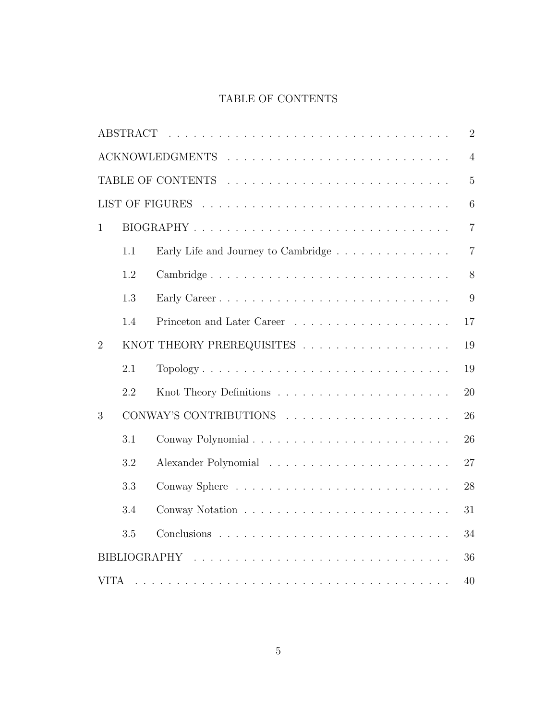## TABLE OF CONTENTS

| $\overline{2}$                                                                                                                       |     |                                     |                |  |  |
|--------------------------------------------------------------------------------------------------------------------------------------|-----|-------------------------------------|----------------|--|--|
| $\overline{4}$                                                                                                                       |     |                                     |                |  |  |
| $\overline{5}$                                                                                                                       |     |                                     |                |  |  |
| 6                                                                                                                                    |     |                                     |                |  |  |
| $\mathbf{1}$                                                                                                                         |     |                                     | $\overline{7}$ |  |  |
|                                                                                                                                      | 1.1 | Early Life and Journey to Cambridge | $\overline{7}$ |  |  |
|                                                                                                                                      | 1.2 | Cambridge                           | 8              |  |  |
|                                                                                                                                      | 1.3 |                                     | 9              |  |  |
|                                                                                                                                      | 1.4 |                                     | 17             |  |  |
| $\overline{2}$                                                                                                                       |     | KNOT THEORY PREREQUISITES           | 19             |  |  |
|                                                                                                                                      | 2.1 | Topology                            | 19             |  |  |
|                                                                                                                                      | 2.2 |                                     | 20             |  |  |
| 3                                                                                                                                    |     |                                     | 26             |  |  |
|                                                                                                                                      | 3.1 |                                     | 26             |  |  |
|                                                                                                                                      | 3.2 |                                     | 27             |  |  |
|                                                                                                                                      | 3.3 |                                     | 28             |  |  |
|                                                                                                                                      | 3.4 |                                     | 31             |  |  |
|                                                                                                                                      | 3.5 |                                     | 34             |  |  |
| 36                                                                                                                                   |     |                                     |                |  |  |
| <b>VITA</b><br>40<br>and a complete the complete state of the complete state of the complete state of the complete state of the comp |     |                                     |                |  |  |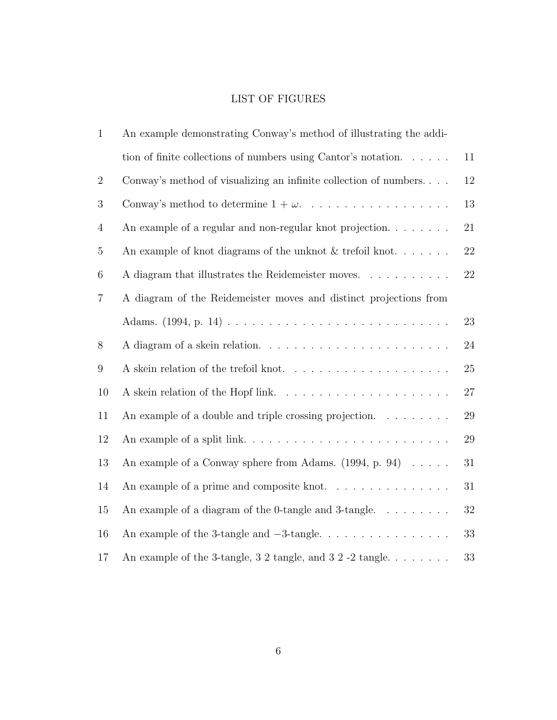## LIST OF FIGURES

| $\mathbf{1}$   | An example demonstrating Conway's method of illustrating the addi-        |        |  |
|----------------|---------------------------------------------------------------------------|--------|--|
|                | tion of finite collections of numbers using Cantor's notation. $\ldots$ . | 11     |  |
| $\overline{2}$ | Conway's method of visualizing an infinite collection of numbers          | 12     |  |
| 3              | Conway's method to determine $1 + \omega$ .                               | $13\,$ |  |
| $\overline{4}$ | An example of a regular and non-regular knot projection                   |        |  |
| $\overline{5}$ | An example of knot diagrams of the unknot $&$ trefoil knot<br>$22\,$      |        |  |
| 6              | A diagram that illustrates the Reidemeister moves.<br>22                  |        |  |
| $\overline{7}$ | A diagram of the Reidemeister moves and distinct projections from         |        |  |
|                |                                                                           | 23     |  |
| 8              |                                                                           | $24\,$ |  |
| 9              |                                                                           | $25\,$ |  |
| 10             |                                                                           | 27     |  |
| 11             | An example of a double and triple crossing projection. $\dots \dots$      | $29\,$ |  |
| 12             |                                                                           | $29\,$ |  |
| 13             | An example of a Conway sphere from Adams. $(1994, p. 94) \ldots$ .        | $31\,$ |  |
| 14             | An example of a prime and composite knot.                                 | 31     |  |
| 15             | An example of a diagram of the 0-tangle and 3-tangle. $\dots \dots$       | 32     |  |
| 16             |                                                                           | 33     |  |
| 17             | An example of the 3-tangle, 3 2 tangle, and 3 2 -2 tangle.                | 33     |  |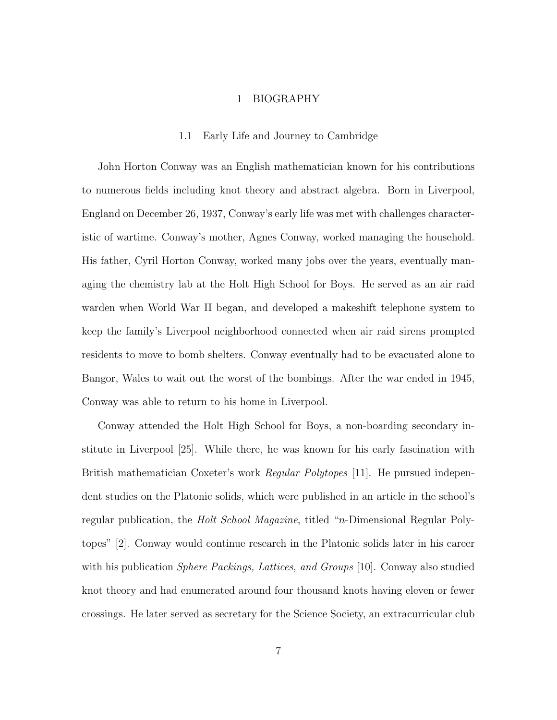#### 1 BIOGRAPHY

#### 1.1 Early Life and Journey to Cambridge

John Horton Conway was an English mathematician known for his contributions to numerous fields including knot theory and abstract algebra. Born in Liverpool, England on December 26, 1937, Conway's early life was met with challenges characteristic of wartime. Conway's mother, Agnes Conway, worked managing the household. His father, Cyril Horton Conway, worked many jobs over the years, eventually managing the chemistry lab at the Holt High School for Boys. He served as an air raid warden when World War II began, and developed a makeshift telephone system to keep the family's Liverpool neighborhood connected when air raid sirens prompted residents to move to bomb shelters. Conway eventually had to be evacuated alone to Bangor, Wales to wait out the worst of the bombings. After the war ended in 1945, Conway was able to return to his home in Liverpool.

Conway attended the Holt High School for Boys, a non-boarding secondary institute in Liverpool [25]. While there, he was known for his early fascination with British mathematician Coxeter's work *Regular Polytopes* [11]. He pursued independent studies on the Platonic solids, which were published in an article in the school's regular publication, the *Holt School Magazine*, titled "*n*-Dimensional Regular Polytopes" [2]. Conway would continue research in the Platonic solids later in his career with his publication *Sphere Packings, Lattices, and Groups* [10]. Conway also studied knot theory and had enumerated around four thousand knots having eleven or fewer crossings. He later served as secretary for the Science Society, an extracurricular club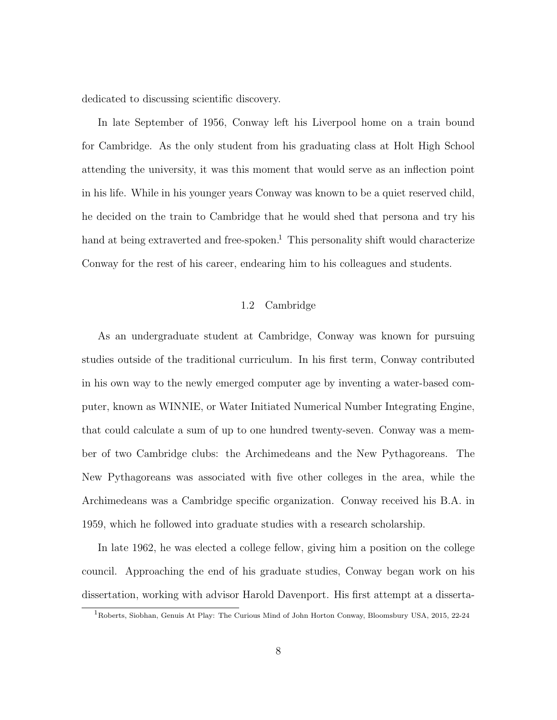dedicated to discussing scientific discovery.

In late September of 1956, Conway left his Liverpool home on a train bound for Cambridge. As the only student from his graduating class at Holt High School attending the university, it was this moment that would serve as an inflection point in his life. While in his younger years Conway was known to be a quiet reserved child, he decided on the train to Cambridge that he would shed that persona and try his hand at being extraverted and free-spoken.<sup>1</sup> This personality shift would characterize Conway for the rest of his career, endearing him to his colleagues and students.

## 1.2 Cambridge

As an undergraduate student at Cambridge, Conway was known for pursuing studies outside of the traditional curriculum. In his first term, Conway contributed in his own way to the newly emerged computer age by inventing a water-based computer, known as WINNIE, or Water Initiated Numerical Number Integrating Engine, that could calculate a sum of up to one hundred twenty-seven. Conway was a member of two Cambridge clubs: the Archimedeans and the New Pythagoreans. The New Pythagoreans was associated with five other colleges in the area, while the Archimedeans was a Cambridge specific organization. Conway received his B.A. in 1959, which he followed into graduate studies with a research scholarship.

In late 1962, he was elected a college fellow, giving him a position on the college council. Approaching the end of his graduate studies, Conway began work on his dissertation, working with advisor Harold Davenport. His first attempt at a disserta-

 $1R$ Oberts, Siobhan, Genuis At Play: The Curious Mind of John Horton Conway, Bloomsbury USA, 2015, 22-24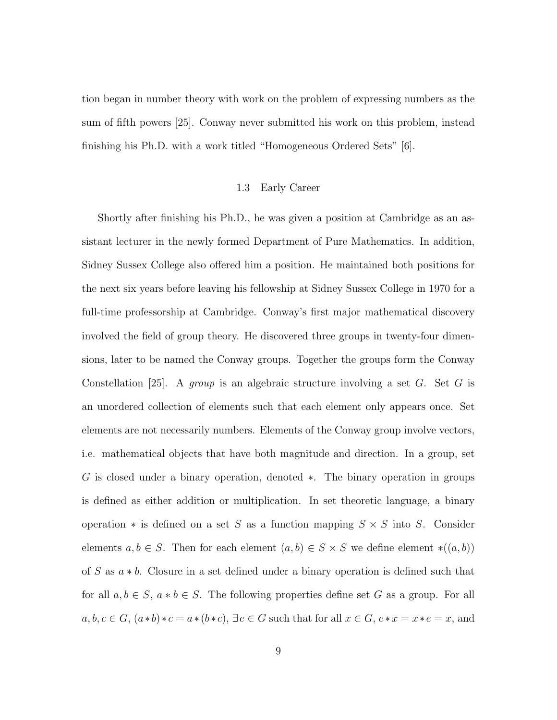tion began in number theory with work on the problem of expressing numbers as the sum of fifth powers [25]. Conway never submitted his work on this problem, instead finishing his Ph.D. with a work titled "Homogeneous Ordered Sets" [6].

### 1.3 Early Career

Shortly after finishing his Ph.D., he was given a position at Cambridge as an assistant lecturer in the newly formed Department of Pure Mathematics. In addition, Sidney Sussex College also offered him a position. He maintained both positions for the next six years before leaving his fellowship at Sidney Sussex College in 1970 for a full-time professorship at Cambridge. Conway's first major mathematical discovery involved the field of group theory. He discovered three groups in twenty-four dimensions, later to be named the Conway groups. Together the groups form the Conway Constellation [25]. A group is an algebraic structure involving a set G. Set G is an unordered collection of elements such that each element only appears once. Set elements are not necessarily numbers. Elements of the Conway group involve vectors, i.e. mathematical objects that have both magnitude and direction. In a group, set G is closed under a binary operation, denoted ∗. The binary operation in groups is defined as either addition or multiplication. In set theoretic language, a binary operation  $*$  is defined on a set S as a function mapping  $S \times S$  into S. Consider elements  $a, b \in S$ . Then for each element  $(a, b) \in S \times S$  we define element \* $((a, b))$ of S as a ∗ b. Closure in a set defined under a binary operation is defined such that for all  $a, b \in S$ ,  $a * b \in S$ . The following properties define set G as a group. For all  $a, b, c \in G$ ,  $(a * b) * c = a * (b * c)$ ,  $\exists e \in G$  such that for all  $x \in G$ ,  $e * x = x * e = x$ , and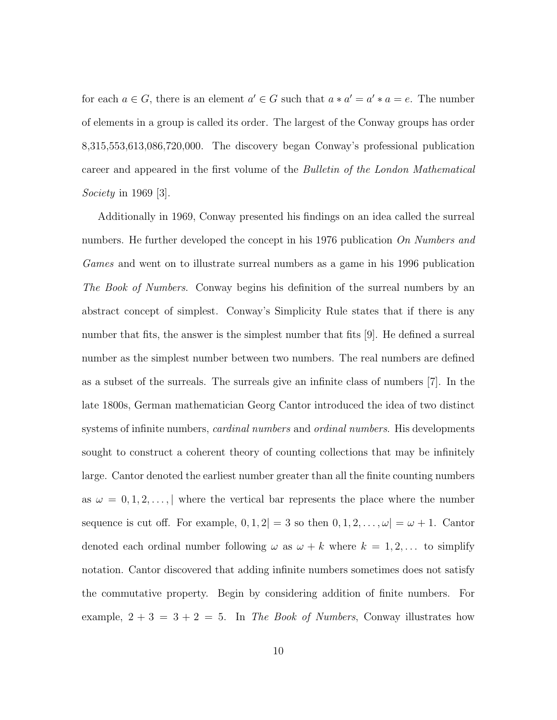for each  $a \in G$ , there is an element  $a' \in G$  such that  $a * a' = a' * a = e$ . The number of elements in a group is called its order. The largest of the Conway groups has order 8,315,553,613,086,720,000. The discovery began Conway's professional publication career and appeared in the first volume of the Bulletin of the London Mathematical Society in 1969 [3].

Additionally in 1969, Conway presented his findings on an idea called the surreal numbers. He further developed the concept in his 1976 publication On Numbers and Games and went on to illustrate surreal numbers as a game in his 1996 publication The Book of Numbers. Conway begins his definition of the surreal numbers by an abstract concept of simplest. Conway's Simplicity Rule states that if there is any number that fits, the answer is the simplest number that fits [9]. He defined a surreal number as the simplest number between two numbers. The real numbers are defined as a subset of the surreals. The surreals give an infinite class of numbers [7]. In the late 1800s, German mathematician Georg Cantor introduced the idea of two distinct systems of infinite numbers, *cardinal numbers* and *ordinal numbers*. His developments sought to construct a coherent theory of counting collections that may be infinitely large. Cantor denoted the earliest number greater than all the finite counting numbers as  $\omega = 0, 1, 2, \ldots, |\$  where the vertical bar represents the place where the number sequence is cut off. For example,  $0, 1, 2$ | = 3 so then  $0, 1, 2, \ldots, \omega$ | =  $\omega + 1$ . Cantor denoted each ordinal number following  $\omega$  as  $\omega + k$  where  $k = 1, 2, \dots$  to simplify notation. Cantor discovered that adding infinite numbers sometimes does not satisfy the commutative property. Begin by considering addition of finite numbers. For example,  $2 + 3 = 3 + 2 = 5$ . In The Book of Numbers, Conway illustrates how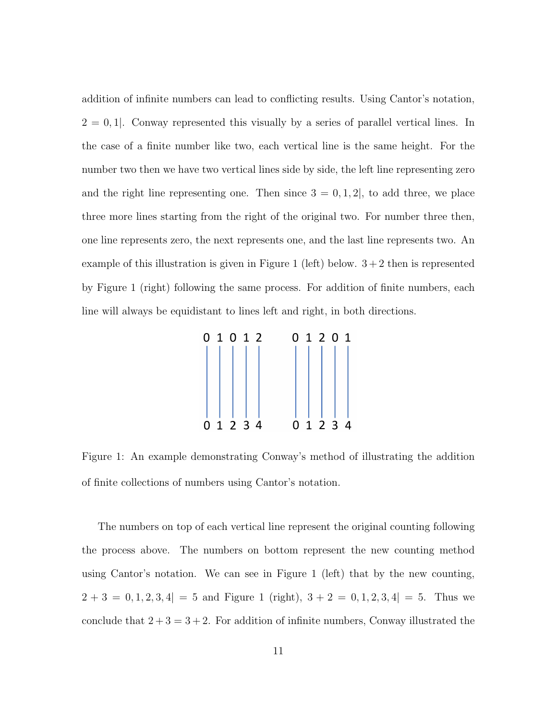addition of infinite numbers can lead to conflicting results. Using Cantor's notation,  $2 = 0, 1$ . Conway represented this visually by a series of parallel vertical lines. In the case of a finite number like two, each vertical line is the same height. For the number two then we have two vertical lines side by side, the left line representing zero and the right line representing one. Then since  $3 = 0, 1, 2$ , to add three, we place three more lines starting from the right of the original two. For number three then, one line represents zero, the next represents one, and the last line represents two. An example of this illustration is given in Figure 1 (left) below.  $3+2$  then is represented by Figure 1 (right) following the same process. For addition of finite numbers, each line will always be equidistant to lines left and right, in both directions.

| 0 1 0 1 2    | 01201        |
|--------------|--------------|
|              |              |
|              |              |
|              |              |
|              |              |
|              |              |
|              |              |
| 1 2 3 4<br>0 | 1 2 3 4<br>O |

Figure 1: An example demonstrating Conway's method of illustrating the addition of finite collections of numbers using Cantor's notation.

The numbers on top of each vertical line represent the original counting following the process above. The numbers on bottom represent the new counting method using Cantor's notation. We can see in Figure 1 (left) that by the new counting,  $2 + 3 = 0, 1, 2, 3, 4$  = 5 and Figure 1 (right),  $3 + 2 = 0, 1, 2, 3, 4$  = 5. Thus we conclude that  $2 + 3 = 3 + 2$ . For addition of infinite numbers, Conway illustrated the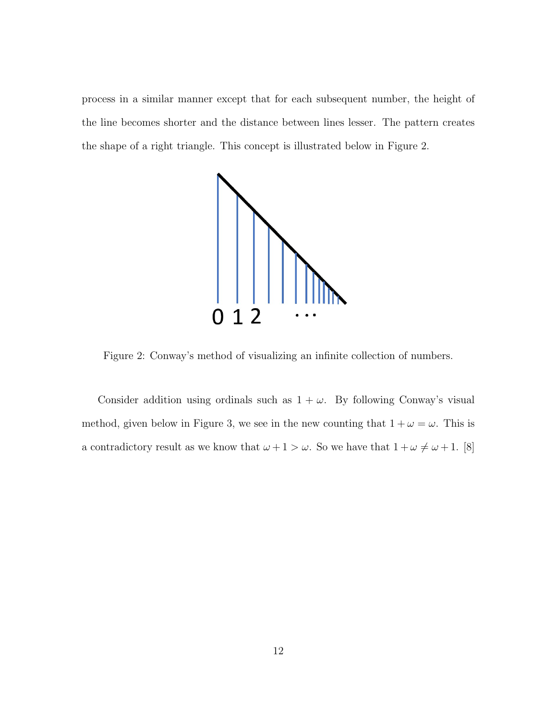process in a similar manner except that for each subsequent number, the height of the line becomes shorter and the distance between lines lesser. The pattern creates the shape of a right triangle. This concept is illustrated below in Figure 2.



Figure 2: Conway's method of visualizing an infinite collection of numbers.

Consider addition using ordinals such as  $1 + \omega$ . By following Conway's visual method, given below in Figure 3, we see in the new counting that  $1 + \omega = \omega$ . This is a contradictory result as we know that  $\omega + 1 > \omega$ . So we have that  $1 + \omega \neq \omega + 1$ . [8]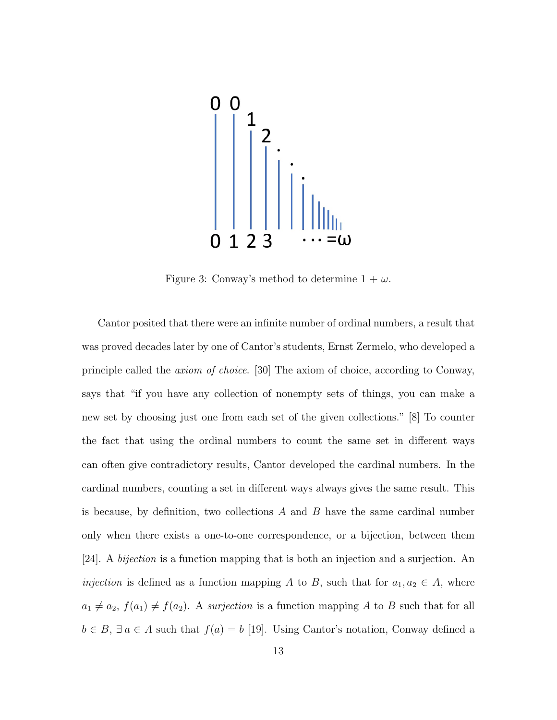

Figure 3: Conway's method to determine  $1 + \omega$ .

Cantor posited that there were an infinite number of ordinal numbers, a result that was proved decades later by one of Cantor's students, Ernst Zermelo, who developed a principle called the axiom of choice. [30] The axiom of choice, according to Conway, says that "if you have any collection of nonempty sets of things, you can make a new set by choosing just one from each set of the given collections." [8] To counter the fact that using the ordinal numbers to count the same set in different ways can often give contradictory results, Cantor developed the cardinal numbers. In the cardinal numbers, counting a set in different ways always gives the same result. This is because, by definition, two collections  $A$  and  $B$  have the same cardinal number only when there exists a one-to-one correspondence, or a bijection, between them [24]. A bijection is a function mapping that is both an injection and a surjection. An *injection* is defined as a function mapping A to B, such that for  $a_1, a_2 \in A$ , where  $a_1 \neq a_2$ ,  $f(a_1) \neq f(a_2)$ . A surjection is a function mapping A to B such that for all  $b \in B$ ,  $\exists a \in A$  such that  $f(a) = b$  [19]. Using Cantor's notation, Conway defined a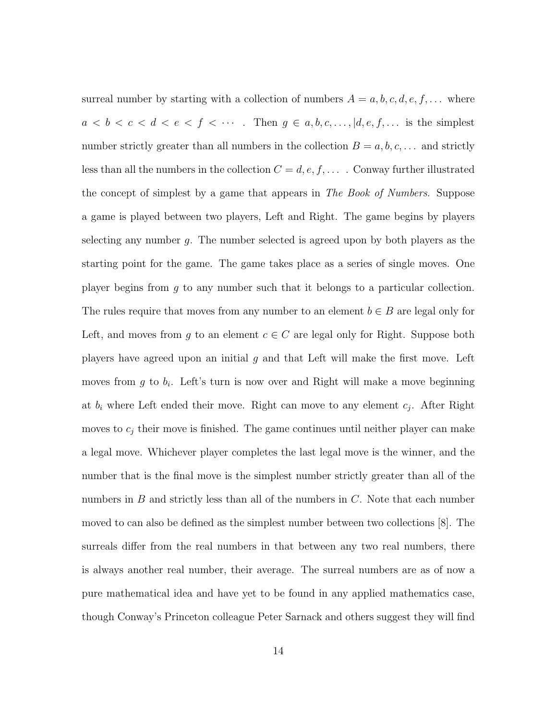surreal number by starting with a collection of numbers  $A = a, b, c, d, e, f, \dots$  where  $a < b < c < d < e < f < \cdots$ . Then  $g \in a, b, c, \ldots, |d, e, f, \ldots$  is the simplest number strictly greater than all numbers in the collection  $B = a, b, c, \dots$  and strictly less than all the numbers in the collection  $C = d, e, f, \ldots$ . Conway further illustrated the concept of simplest by a game that appears in The Book of Numbers. Suppose a game is played between two players, Left and Right. The game begins by players selecting any number q. The number selected is agreed upon by both players as the starting point for the game. The game takes place as a series of single moves. One player begins from  $g$  to any number such that it belongs to a particular collection. The rules require that moves from any number to an element  $b \in B$  are legal only for Left, and moves from g to an element  $c \in C$  are legal only for Right. Suppose both players have agreed upon an initial  $g$  and that Left will make the first move. Left moves from  $g$  to  $b_i$ . Left's turn is now over and Right will make a move beginning at  $b_i$  where Left ended their move. Right can move to any element  $c_j$ . After Right moves to  $c_j$  their move is finished. The game continues until neither player can make a legal move. Whichever player completes the last legal move is the winner, and the number that is the final move is the simplest number strictly greater than all of the numbers in  $B$  and strictly less than all of the numbers in  $C$ . Note that each number moved to can also be defined as the simplest number between two collections [8]. The surreals differ from the real numbers in that between any two real numbers, there is always another real number, their average. The surreal numbers are as of now a pure mathematical idea and have yet to be found in any applied mathematics case, though Conway's Princeton colleague Peter Sarnack and others suggest they will find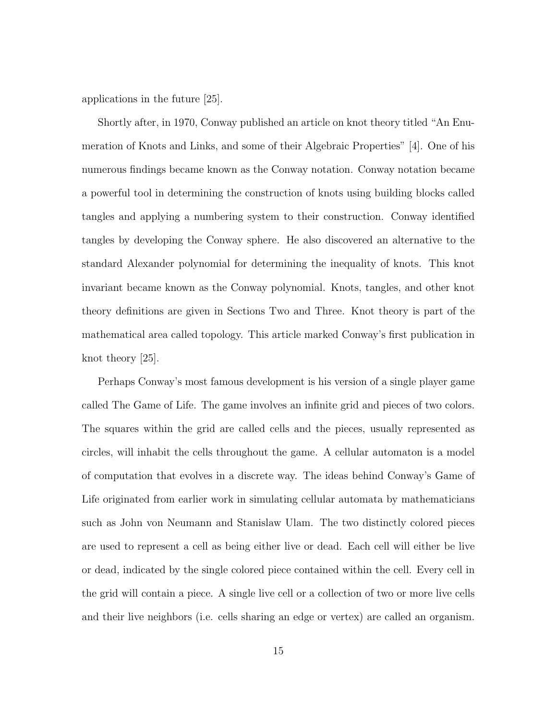applications in the future [25].

Shortly after, in 1970, Conway published an article on knot theory titled "An Enumeration of Knots and Links, and some of their Algebraic Properties" [4]. One of his numerous findings became known as the Conway notation. Conway notation became a powerful tool in determining the construction of knots using building blocks called tangles and applying a numbering system to their construction. Conway identified tangles by developing the Conway sphere. He also discovered an alternative to the standard Alexander polynomial for determining the inequality of knots. This knot invariant became known as the Conway polynomial. Knots, tangles, and other knot theory definitions are given in Sections Two and Three. Knot theory is part of the mathematical area called topology. This article marked Conway's first publication in knot theory [25].

Perhaps Conway's most famous development is his version of a single player game called The Game of Life. The game involves an infinite grid and pieces of two colors. The squares within the grid are called cells and the pieces, usually represented as circles, will inhabit the cells throughout the game. A cellular automaton is a model of computation that evolves in a discrete way. The ideas behind Conway's Game of Life originated from earlier work in simulating cellular automata by mathematicians such as John von Neumann and Stanislaw Ulam. The two distinctly colored pieces are used to represent a cell as being either live or dead. Each cell will either be live or dead, indicated by the single colored piece contained within the cell. Every cell in the grid will contain a piece. A single live cell or a collection of two or more live cells and their live neighbors (i.e. cells sharing an edge or vertex) are called an organism.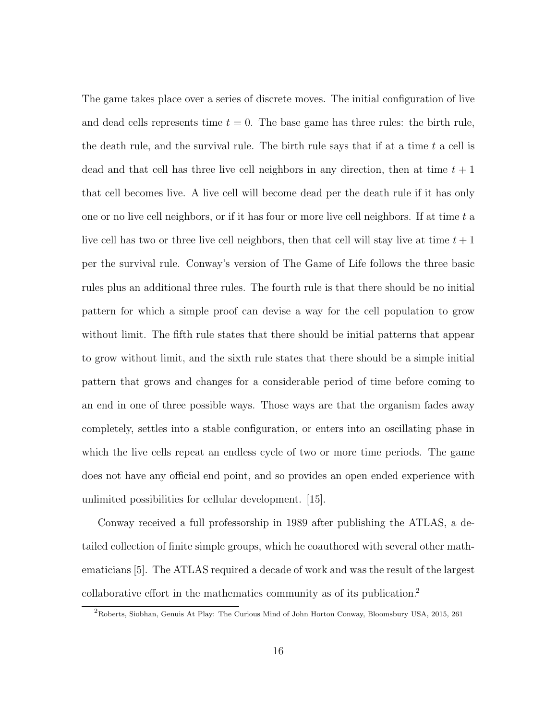The game takes place over a series of discrete moves. The initial configuration of live and dead cells represents time  $t = 0$ . The base game has three rules: the birth rule, the death rule, and the survival rule. The birth rule says that if at a time  $t$  a cell is dead and that cell has three live cell neighbors in any direction, then at time  $t + 1$ that cell becomes live. A live cell will become dead per the death rule if it has only one or no live cell neighbors, or if it has four or more live cell neighbors. If at time t a live cell has two or three live cell neighbors, then that cell will stay live at time  $t + 1$ per the survival rule. Conway's version of The Game of Life follows the three basic rules plus an additional three rules. The fourth rule is that there should be no initial pattern for which a simple proof can devise a way for the cell population to grow without limit. The fifth rule states that there should be initial patterns that appear to grow without limit, and the sixth rule states that there should be a simple initial pattern that grows and changes for a considerable period of time before coming to an end in one of three possible ways. Those ways are that the organism fades away completely, settles into a stable configuration, or enters into an oscillating phase in which the live cells repeat an endless cycle of two or more time periods. The game does not have any official end point, and so provides an open ended experience with unlimited possibilities for cellular development. [15].

Conway received a full professorship in 1989 after publishing the ATLAS, a detailed collection of finite simple groups, which he coauthored with several other mathematicians [5]. The ATLAS required a decade of work and was the result of the largest collaborative effort in the mathematics community as of its publication.<sup>2</sup>

<sup>2</sup>Roberts, Siobhan, Genuis At Play: The Curious Mind of John Horton Conway, Bloomsbury USA, 2015, 261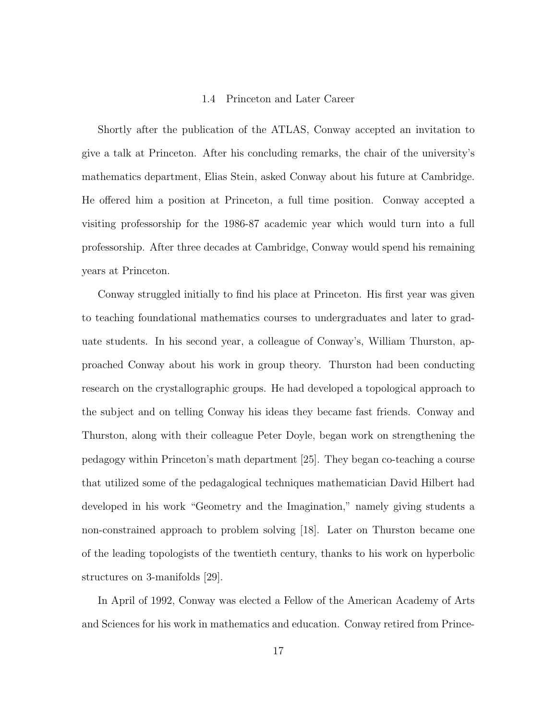#### 1.4 Princeton and Later Career

Shortly after the publication of the ATLAS, Conway accepted an invitation to give a talk at Princeton. After his concluding remarks, the chair of the university's mathematics department, Elias Stein, asked Conway about his future at Cambridge. He offered him a position at Princeton, a full time position. Conway accepted a visiting professorship for the 1986-87 academic year which would turn into a full professorship. After three decades at Cambridge, Conway would spend his remaining years at Princeton.

Conway struggled initially to find his place at Princeton. His first year was given to teaching foundational mathematics courses to undergraduates and later to graduate students. In his second year, a colleague of Conway's, William Thurston, approached Conway about his work in group theory. Thurston had been conducting research on the crystallographic groups. He had developed a topological approach to the subject and on telling Conway his ideas they became fast friends. Conway and Thurston, along with their colleague Peter Doyle, began work on strengthening the pedagogy within Princeton's math department [25]. They began co-teaching a course that utilized some of the pedagalogical techniques mathematician David Hilbert had developed in his work "Geometry and the Imagination," namely giving students a non-constrained approach to problem solving [18]. Later on Thurston became one of the leading topologists of the twentieth century, thanks to his work on hyperbolic structures on 3-manifolds [29].

In April of 1992, Conway was elected a Fellow of the American Academy of Arts and Sciences for his work in mathematics and education. Conway retired from Prince-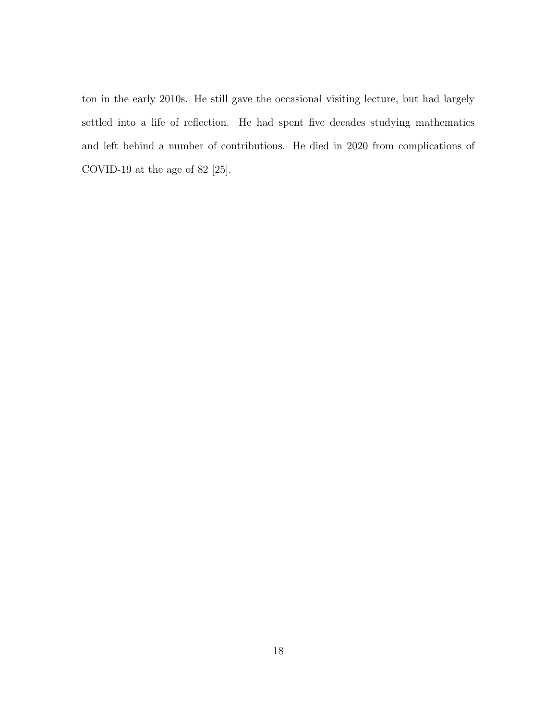ton in the early 2010s. He still gave the occasional visiting lecture, but had largely settled into a life of reflection. He had spent five decades studying mathematics and left behind a number of contributions. He died in 2020 from complications of COVID-19 at the age of 82 [25].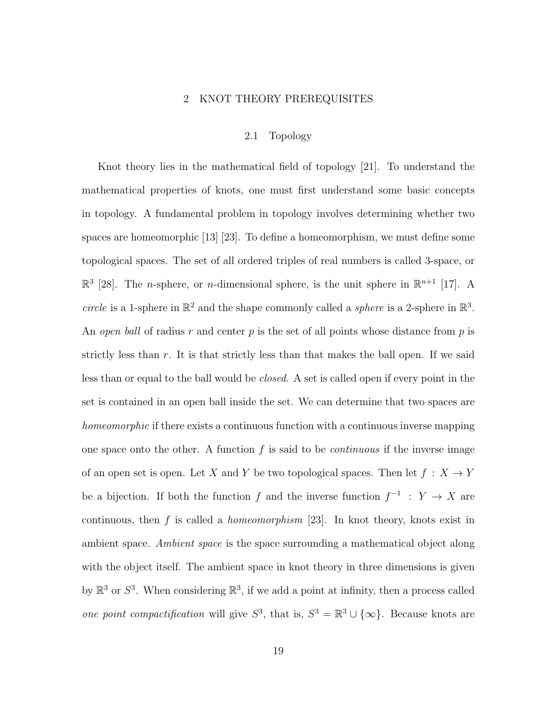#### 2 KNOT THEORY PREREQUISITES

## 2.1 Topology

Knot theory lies in the mathematical field of topology [21]. To understand the mathematical properties of knots, one must first understand some basic concepts in topology. A fundamental problem in topology involves determining whether two spaces are homeomorphic [13] [23]. To define a homeomorphism, we must define some topological spaces. The set of all ordered triples of real numbers is called 3-space, or  $\mathbb{R}^3$  [28]. The *n*-sphere, or *n*-dimensional sphere, is the unit sphere in  $\mathbb{R}^{n+1}$  [17]. A circle is a 1-sphere in  $\mathbb{R}^2$  and the shape commonly called a *sphere* is a 2-sphere in  $\mathbb{R}^3$ . An open ball of radius r and center p is the set of all points whose distance from p is strictly less than r. It is that strictly less than that makes the ball open. If we said less than or equal to the ball would be closed. A set is called open if every point in the set is contained in an open ball inside the set. We can determine that two spaces are homeomorphic if there exists a continuous function with a continuous inverse mapping one space onto the other. A function  $f$  is said to be *continuous* if the inverse image of an open set is open. Let X and Y be two topological spaces. Then let  $f: X \to Y$ be a bijection. If both the function f and the inverse function  $f^{-1}$ :  $Y \to X$  are continuous, then  $f$  is called a *homeomorphism* [23]. In knot theory, knots exist in ambient space. Ambient space is the space surrounding a mathematical object along with the object itself. The ambient space in knot theory in three dimensions is given by  $\mathbb{R}^3$  or  $S^3$ . When considering  $\mathbb{R}^3$ , if we add a point at infinity, then a process called one point compactification will give  $S^3$ , that is,  $S^3 = \mathbb{R}^3 \cup \{\infty\}$ . Because knots are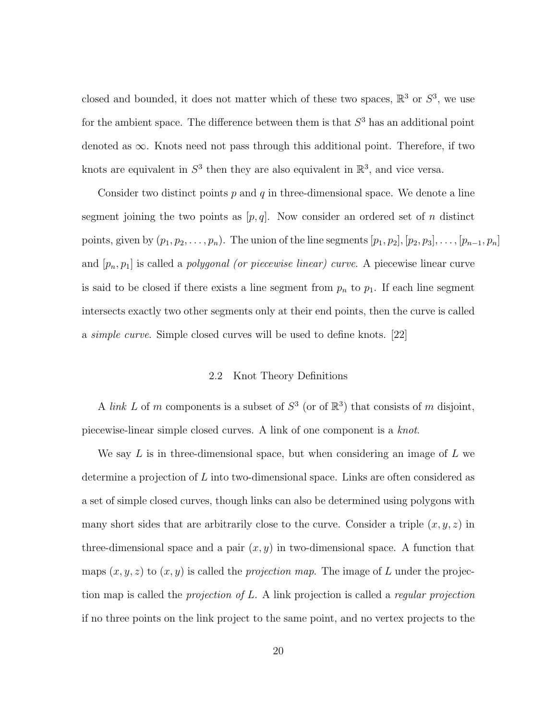closed and bounded, it does not matter which of these two spaces,  $\mathbb{R}^3$  or  $S^3$ , we use for the ambient space. The difference between them is that  $S<sup>3</sup>$  has an additional point denoted as  $\infty$ . Knots need not pass through this additional point. Therefore, if two knots are equivalent in  $S^3$  then they are also equivalent in  $\mathbb{R}^3$ , and vice versa.

Consider two distinct points  $p$  and  $q$  in three-dimensional space. We denote a line segment joining the two points as  $[p, q]$ . Now consider an ordered set of n distinct points, given by  $(p_1, p_2, \ldots, p_n)$ . The union of the line segments  $[p_1, p_2], [p_2, p_3], \ldots, [p_{n-1}, p_n]$ and  $[p_n, p_1]$  is called a *polygonal (or piecewise linear) curve*. A piecewise linear curve is said to be closed if there exists a line segment from  $p_n$  to  $p_1$ . If each line segment intersects exactly two other segments only at their end points, then the curve is called a simple curve. Simple closed curves will be used to define knots. [22]

## 2.2 Knot Theory Definitions

A link L of m components is a subset of  $S^3$  (or of  $\mathbb{R}^3$ ) that consists of m disjoint, piecewise-linear simple closed curves. A link of one component is a knot.

We say  $L$  is in three-dimensional space, but when considering an image of  $L$  we determine a projection of L into two-dimensional space. Links are often considered as a set of simple closed curves, though links can also be determined using polygons with many short sides that are arbitrarily close to the curve. Consider a triple  $(x, y, z)$  in three-dimensional space and a pair  $(x, y)$  in two-dimensional space. A function that maps  $(x, y, z)$  to  $(x, y)$  is called the *projection map*. The image of L under the projection map is called the *projection of L.* A link projection is called a *regular projection* if no three points on the link project to the same point, and no vertex projects to the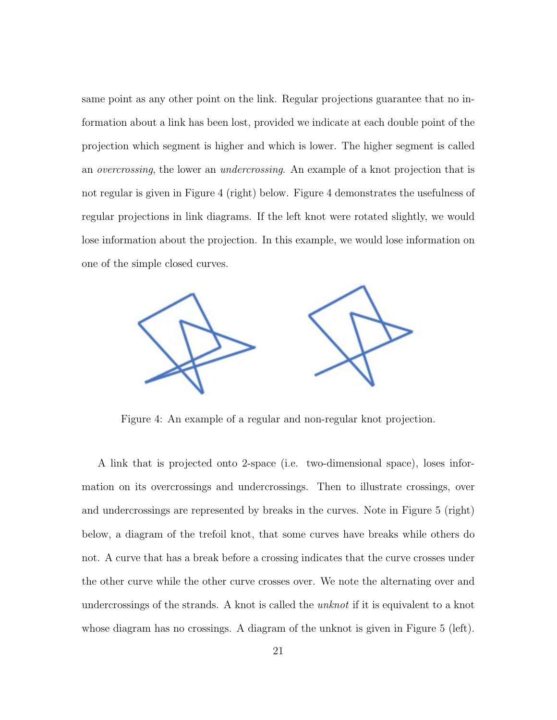same point as any other point on the link. Regular projections guarantee that no information about a link has been lost, provided we indicate at each double point of the projection which segment is higher and which is lower. The higher segment is called an overcrossing, the lower an undercrossing. An example of a knot projection that is not regular is given in Figure 4 (right) below. Figure 4 demonstrates the usefulness of regular projections in link diagrams. If the left knot were rotated slightly, we would lose information about the projection. In this example, we would lose information on one of the simple closed curves.



Figure 4: An example of a regular and non-regular knot projection.

A link that is projected onto 2-space (i.e. two-dimensional space), loses information on its overcrossings and undercrossings. Then to illustrate crossings, over and undercrossings are represented by breaks in the curves. Note in Figure 5 (right) below, a diagram of the trefoil knot, that some curves have breaks while others do not. A curve that has a break before a crossing indicates that the curve crosses under the other curve while the other curve crosses over. We note the alternating over and undercrossings of the strands. A knot is called the *unknot* if it is equivalent to a knot whose diagram has no crossings. A diagram of the unknot is given in Figure 5 (left).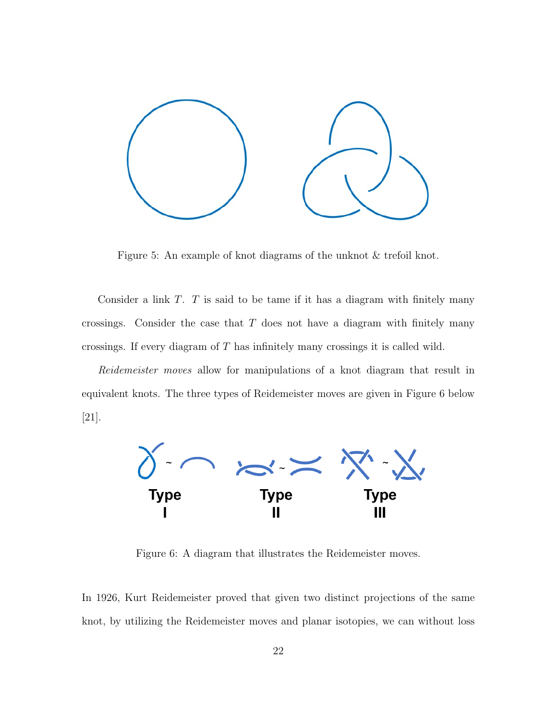

Figure 5: An example of knot diagrams of the unknot & trefoil knot.

Consider a link T. T is said to be tame if it has a diagram with finitely many crossings. Consider the case that  $T$  does not have a diagram with finitely many crossings. If every diagram of T has infinitely many crossings it is called wild.

Reidemeister moves allow for manipulations of a knot diagram that result in equivalent knots. The three types of Reidemeister moves are given in Figure 6 below [21].



Figure 6: A diagram that illustrates the Reidemeister moves.

In 1926, Kurt Reidemeister proved that given two distinct projections of the same knot, by utilizing the Reidemeister moves and planar isotopies, we can without loss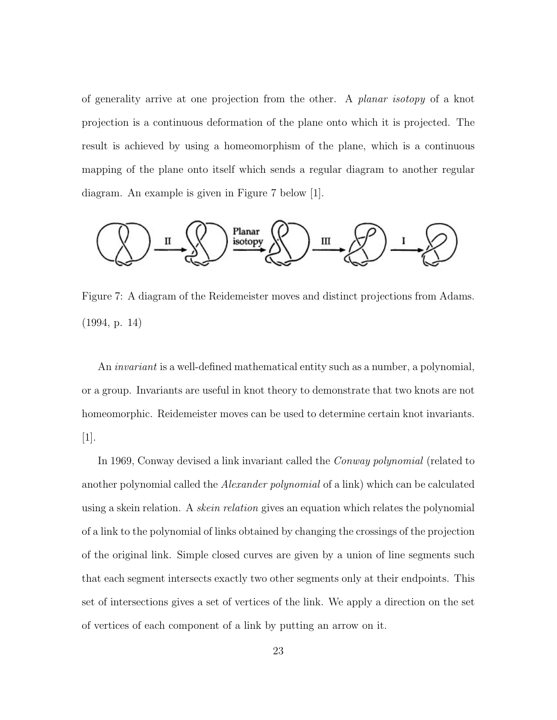of generality arrive at one projection from the other. A planar isotopy of a knot projection is a continuous deformation of the plane onto which it is projected. The result is achieved by using a homeomorphism of the plane, which is a continuous mapping of the plane onto itself which sends a regular diagram to another regular diagram. An example is given in Figure 7 below [1].



Figure 7: A diagram of the Reidemeister moves and distinct projections from Adams. (1994, p. 14)

An invariant is a well-defined mathematical entity such as a number, a polynomial, or a group. Invariants are useful in knot theory to demonstrate that two knots are not homeomorphic. Reidemeister moves can be used to determine certain knot invariants. [1].

In 1969, Conway devised a link invariant called the Conway polynomial (related to another polynomial called the *Alexander polynomial* of a link) which can be calculated using a skein relation. A *skein relation* gives an equation which relates the polynomial of a link to the polynomial of links obtained by changing the crossings of the projection of the original link. Simple closed curves are given by a union of line segments such that each segment intersects exactly two other segments only at their endpoints. This set of intersections gives a set of vertices of the link. We apply a direction on the set of vertices of each component of a link by putting an arrow on it.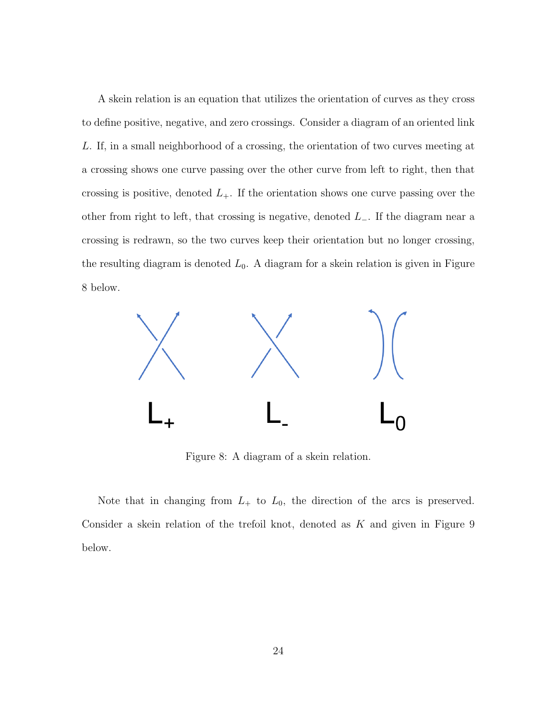A skein relation is an equation that utilizes the orientation of curves as they cross to define positive, negative, and zero crossings. Consider a diagram of an oriented link L. If, in a small neighborhood of a crossing, the orientation of two curves meeting at a crossing shows one curve passing over the other curve from left to right, then that crossing is positive, denoted  $L_{+}$ . If the orientation shows one curve passing over the other from right to left, that crossing is negative, denoted  $L_-\$ . If the diagram near a crossing is redrawn, so the two curves keep their orientation but no longer crossing, the resulting diagram is denoted  $L_0$ . A diagram for a skein relation is given in Figure 8 below.



Figure 8: A diagram of a skein relation.

Note that in changing from  $L_+$  to  $L_0$ , the direction of the arcs is preserved. Consider a skein relation of the trefoil knot, denoted as  $K$  and given in Figure  $9$ below.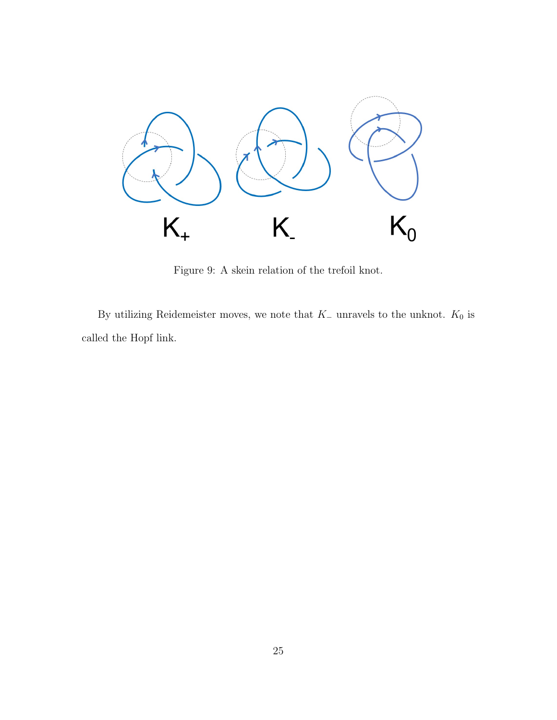

Figure 9: A skein relation of the trefoil knot.

By utilizing Reidemeister moves, we note that  $K_-\,$  unravels to the unknot.  $K_0$  is called the Hopf link.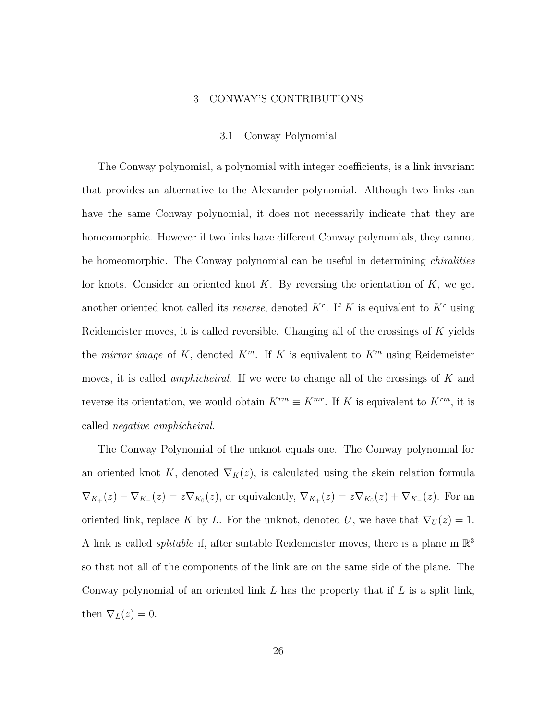#### 3 CONWAY'S CONTRIBUTIONS

#### 3.1 Conway Polynomial

The Conway polynomial, a polynomial with integer coefficients, is a link invariant that provides an alternative to the Alexander polynomial. Although two links can have the same Conway polynomial, it does not necessarily indicate that they are homeomorphic. However if two links have different Conway polynomials, they cannot be homeomorphic. The Conway polynomial can be useful in determining chiralities for knots. Consider an oriented knot  $K$ . By reversing the orientation of  $K$ , we get another oriented knot called its *reverse*, denoted  $K<sup>r</sup>$ . If K is equivalent to  $K<sup>r</sup>$  using Reidemeister moves, it is called reversible. Changing all of the crossings of K yields the *mirror image* of K, denoted  $K^m$ . If K is equivalent to  $K^m$  using Reidemeister moves, it is called *amphicheiral*. If we were to change all of the crossings of  $K$  and reverse its orientation, we would obtain  $K^{rm} \equiv K^{mr}$ . If K is equivalent to  $K^{rm}$ , it is called negative amphicheiral.

The Conway Polynomial of the unknot equals one. The Conway polynomial for an oriented knot K, denoted  $\nabla_K(z)$ , is calculated using the skein relation formula  $\nabla_{K_+}(z) - \nabla_{K_-}(z) = z \nabla_{K_0}(z)$ , or equivalently,  $\nabla_{K_+}(z) = z \nabla_{K_0}(z) + \nabla_{K_-}(z)$ . For an oriented link, replace K by L. For the unknot, denoted U, we have that  $\nabla_U(z) = 1$ . A link is called *splitable* if, after suitable Reidemeister moves, there is a plane in  $\mathbb{R}^3$ so that not all of the components of the link are on the same side of the plane. The Conway polynomial of an oriented link  $L$  has the property that if  $L$  is a split link, then  $\nabla_L(z)=0$ .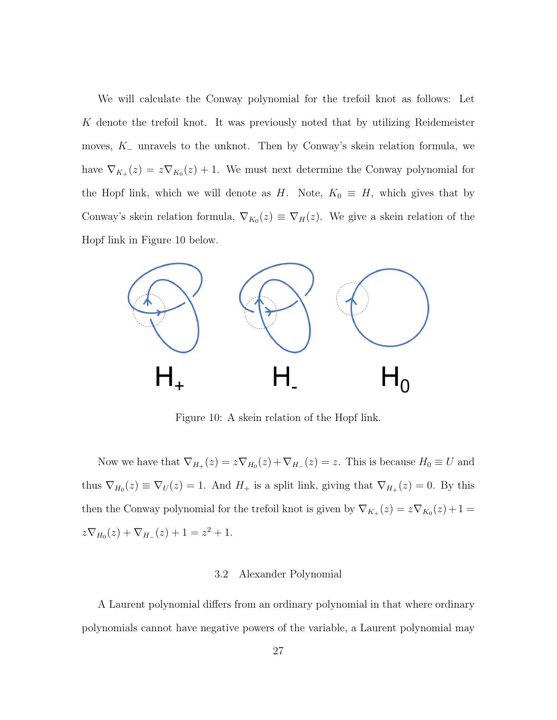We will calculate the Conway polynomial for the trefoil knot as follows: Let K denote the trefoil knot. It was previously noted that by utilizing Reidemeister moves,  $K_-\,$  unravels to the unknot. Then by Conway's skein relation formula, we have  $\nabla_{K_+}(z) = z \nabla_{K_0}(z) + 1$ . We must next determine the Conway polynomial for the Hopf link, which we will denote as H. Note,  $K_0 \equiv H$ , which gives that by Conway's skein relation formula,  $\nabla_{K_0}(z) \equiv \nabla_H(z)$ . We give a skein relation of the Hopf link in Figure 10 below.



Figure 10: A skein relation of the Hopf link.

Now we have that  $\nabla_{H_+}(z) = z \nabla_{H_0}(z) + \nabla_{H_-}(z) = z$ . This is because  $H_0 \equiv U$  and thus  $\nabla_{H_0}(z) \equiv \nabla_U(z) = 1$ . And  $H_+$  is a split link, giving that  $\nabla_{H_+}(z) = 0$ . By this then the Conway polynomial for the trefoil knot is given by  $\nabla_{K_+}(z) = z \nabla_{K_0}(z) + 1 =$  $z\nabla_{H_0}(z) + \nabla_{H_{-}}(z) + 1 = z^2 + 1.$ 

#### 3.2 Alexander Polynomial

A Laurent polynomial differs from an ordinary polynomial in that where ordinary polynomials cannot have negative powers of the variable, a Laurent polynomial may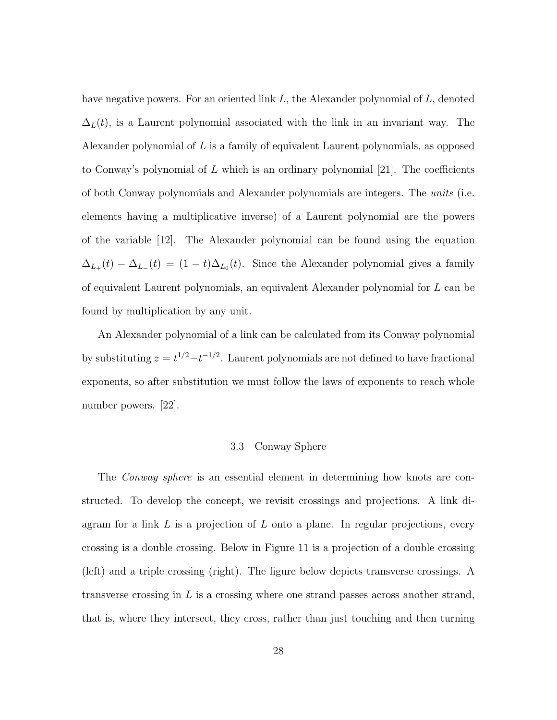have negative powers. For an oriented link L, the Alexander polynomial of L, denoted  $\Delta_L(t)$ , is a Laurent polynomial associated with the link in an invariant way. The Alexander polynomial of  $L$  is a family of equivalent Laurent polynomials, as opposed to Conway's polynomial of L which is an ordinary polynomial [21]. The coefficients of both Conway polynomials and Alexander polynomials are integers. The units (i.e. elements having a multiplicative inverse) of a Laurent polynomial are the powers of the variable [12]. The Alexander polynomial can be found using the equation  $\Delta_{L_{+}}(t) - \Delta_{L_{-}}(t) = (1-t)\Delta_{L_{0}}(t)$ . Since the Alexander polynomial gives a family of equivalent Laurent polynomials, an equivalent Alexander polynomial for L can be found by multiplication by any unit.

An Alexander polynomial of a link can be calculated from its Conway polynomial by substituting  $z = t^{1/2} - t^{-1/2}$ . Laurent polynomials are not defined to have fractional exponents, so after substitution we must follow the laws of exponents to reach whole number powers. [22].

#### 3.3 Conway Sphere

The *Conway sphere* is an essential element in determining how knots are constructed. To develop the concept, we revisit crossings and projections. A link diagram for a link  $L$  is a projection of  $L$  onto a plane. In regular projections, every crossing is a double crossing. Below in Figure 11 is a projection of a double crossing (left) and a triple crossing (right). The figure below depicts transverse crossings. A transverse crossing in  $L$  is a crossing where one strand passes across another strand, that is, where they intersect, they cross, rather than just touching and then turning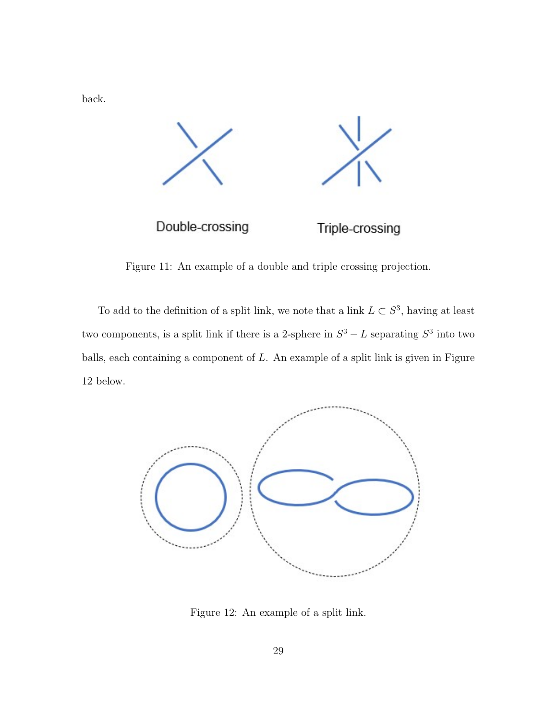back.



Figure 11: An example of a double and triple crossing projection.

To add to the definition of a split link, we note that a link  $L \subset S^3$ , having at least two components, is a split link if there is a 2-sphere in  $S^3 - L$  separating  $S^3$  into two balls, each containing a component of  $L$ . An example of a split link is given in Figure 12 below.



Figure 12: An example of a split link.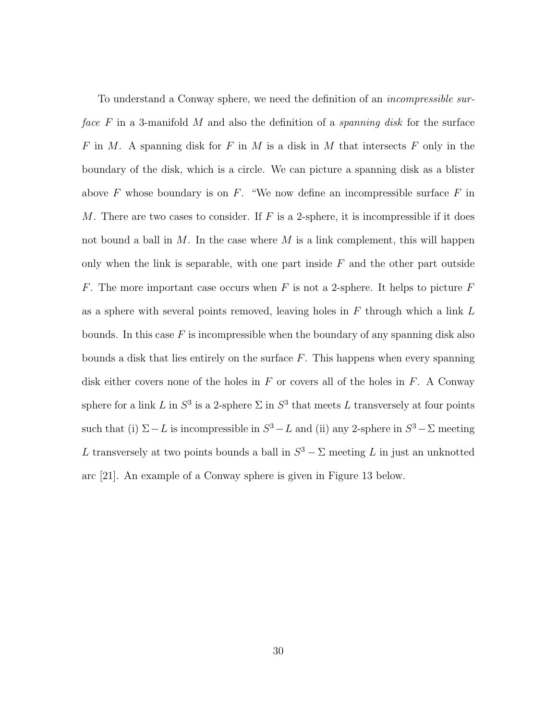To understand a Conway sphere, we need the definition of an incompressible surface  $F$  in a 3-manifold M and also the definition of a *spanning disk* for the surface F in M. A spanning disk for F in M is a disk in M that intersects F only in the boundary of the disk, which is a circle. We can picture a spanning disk as a blister above  $F$  whose boundary is on  $F$ . "We now define an incompressible surface  $F$  in M. There are two cases to consider. If  $F$  is a 2-sphere, it is incompressible if it does not bound a ball in  $M$ . In the case where  $M$  is a link complement, this will happen only when the link is separable, with one part inside  $F$  and the other part outside F. The more important case occurs when F is not a 2-sphere. It helps to picture F as a sphere with several points removed, leaving holes in  $F$  through which a link  $L$ bounds. In this case  $F$  is incompressible when the boundary of any spanning disk also bounds a disk that lies entirely on the surface  $F$ . This happens when every spanning disk either covers none of the holes in  $F$  or covers all of the holes in  $F$ . A Conway sphere for a link L in  $S^3$  is a 2-sphere  $\Sigma$  in  $S^3$  that meets L transversely at four points such that (i)  $\Sigma - L$  is incompressible in  $S^3 - L$  and (ii) any 2-sphere in  $S^3 - \Sigma$  meeting L transversely at two points bounds a ball in  $S^3 - \Sigma$  meeting L in just an unknotted arc [21]. An example of a Conway sphere is given in Figure 13 below.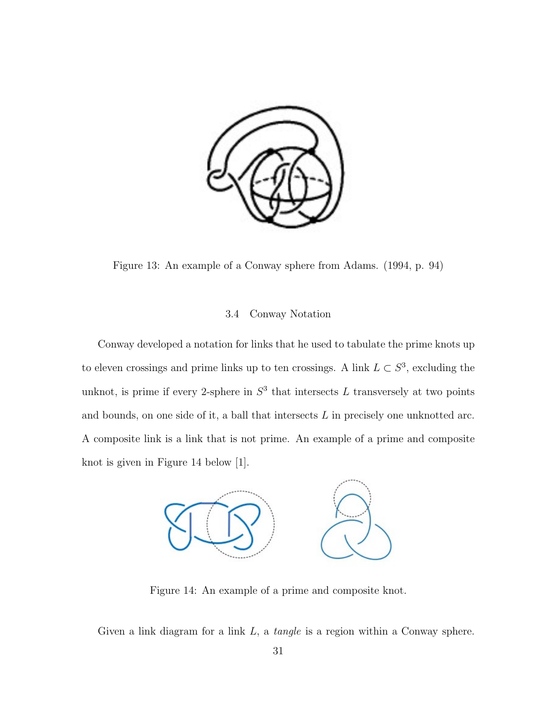

Figure 13: An example of a Conway sphere from Adams. (1994, p. 94)

## 3.4 Conway Notation

Conway developed a notation for links that he used to tabulate the prime knots up to eleven crossings and prime links up to ten crossings. A link  $L \subset S^3$ , excluding the unknot, is prime if every 2-sphere in  $S<sup>3</sup>$  that intersects L transversely at two points and bounds, on one side of it, a ball that intersects  $L$  in precisely one unknotted arc. A composite link is a link that is not prime. An example of a prime and composite knot is given in Figure 14 below [1].



Figure 14: An example of a prime and composite knot.

Given a link diagram for a link  $L$ , a *tangle* is a region within a Conway sphere.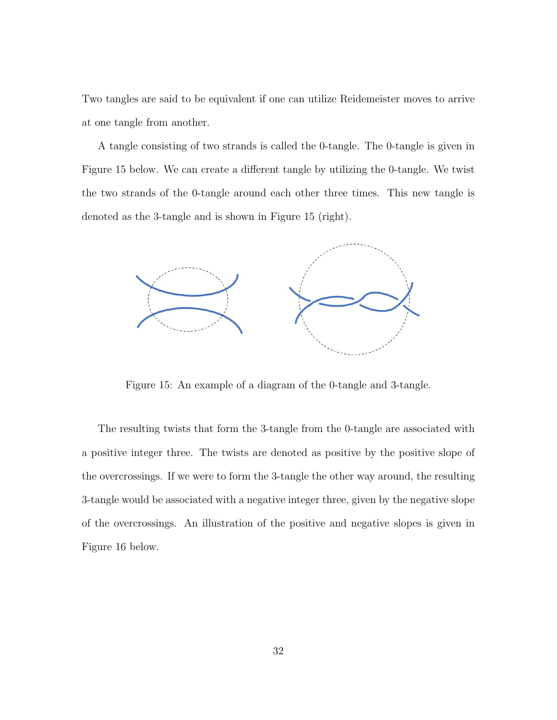Two tangles are said to be equivalent if one can utilize Reidemeister moves to arrive at one tangle from another.

A tangle consisting of two strands is called the 0-tangle. The 0-tangle is given in Figure 15 below. We can create a different tangle by utilizing the 0-tangle. We twist the two strands of the 0-tangle around each other three times. This new tangle is denoted as the 3-tangle and is shown in Figure 15 (right).



Figure 15: An example of a diagram of the 0-tangle and 3-tangle.

The resulting twists that form the 3-tangle from the 0-tangle are associated with a positive integer three. The twists are denoted as positive by the positive slope of the overcrossings. If we were to form the 3-tangle the other way around, the resulting 3-tangle would be associated with a negative integer three, given by the negative slope of the overcrossings. An illustration of the positive and negative slopes is given in Figure 16 below.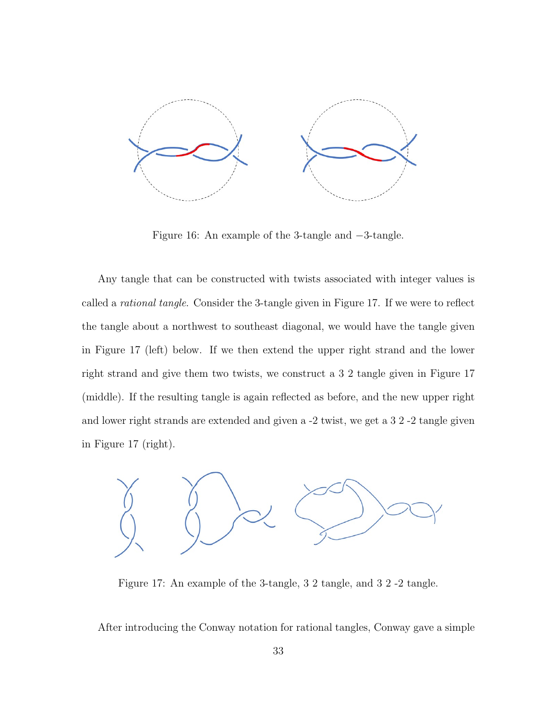

Figure 16: An example of the 3-tangle and −3-tangle.

Any tangle that can be constructed with twists associated with integer values is called a rational tangle. Consider the 3-tangle given in Figure 17. If we were to reflect the tangle about a northwest to southeast diagonal, we would have the tangle given in Figure 17 (left) below. If we then extend the upper right strand and the lower right strand and give them two twists, we construct a 3 2 tangle given in Figure 17 (middle). If the resulting tangle is again reflected as before, and the new upper right and lower right strands are extended and given a -2 twist, we get a 3 2 -2 tangle given in Figure 17 (right).



Figure 17: An example of the 3-tangle, 3 2 tangle, and 3 2 -2 tangle.

After introducing the Conway notation for rational tangles, Conway gave a simple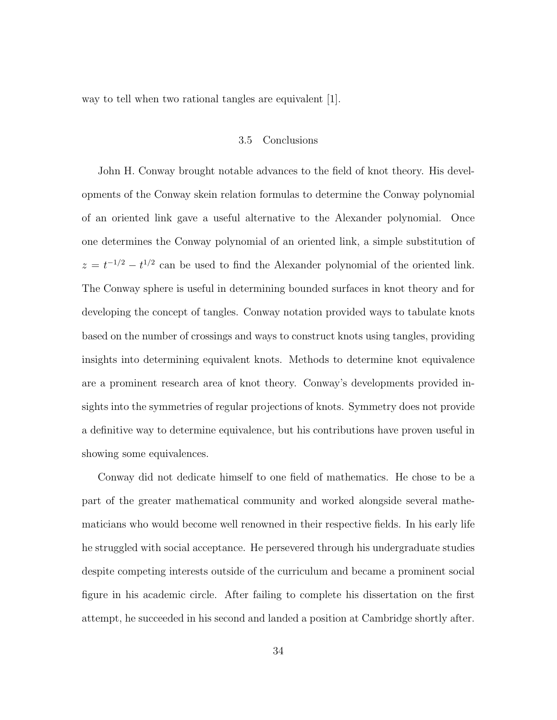way to tell when two rational tangles are equivalent [1].

### 3.5 Conclusions

John H. Conway brought notable advances to the field of knot theory. His developments of the Conway skein relation formulas to determine the Conway polynomial of an oriented link gave a useful alternative to the Alexander polynomial. Once one determines the Conway polynomial of an oriented link, a simple substitution of  $z = t^{-1/2} - t^{1/2}$  can be used to find the Alexander polynomial of the oriented link. The Conway sphere is useful in determining bounded surfaces in knot theory and for developing the concept of tangles. Conway notation provided ways to tabulate knots based on the number of crossings and ways to construct knots using tangles, providing insights into determining equivalent knots. Methods to determine knot equivalence are a prominent research area of knot theory. Conway's developments provided insights into the symmetries of regular projections of knots. Symmetry does not provide a definitive way to determine equivalence, but his contributions have proven useful in showing some equivalences.

Conway did not dedicate himself to one field of mathematics. He chose to be a part of the greater mathematical community and worked alongside several mathematicians who would become well renowned in their respective fields. In his early life he struggled with social acceptance. He persevered through his undergraduate studies despite competing interests outside of the curriculum and became a prominent social figure in his academic circle. After failing to complete his dissertation on the first attempt, he succeeded in his second and landed a position at Cambridge shortly after.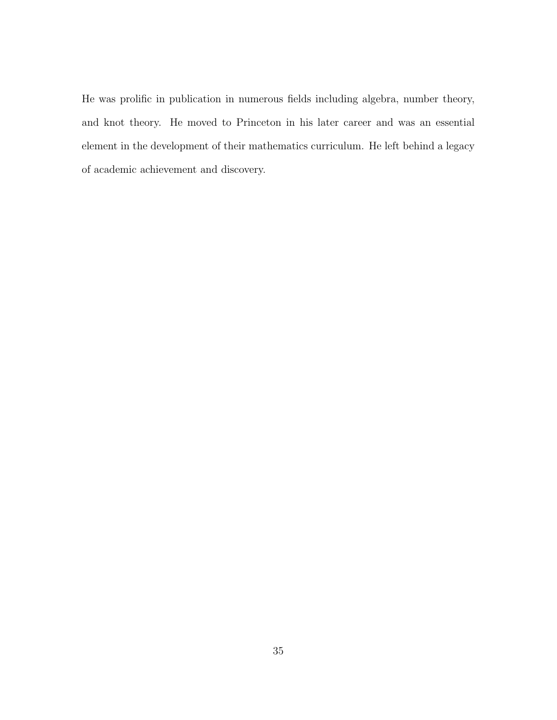He was prolific in publication in numerous fields including algebra, number theory, and knot theory. He moved to Princeton in his later career and was an essential element in the development of their mathematics curriculum. He left behind a legacy of academic achievement and discovery.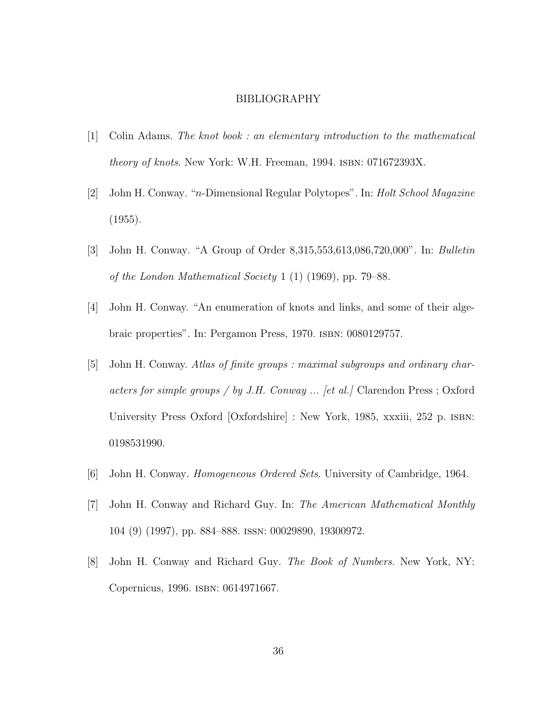#### BIBLIOGRAPHY

- [1] Colin Adams. The knot book : an elementary introduction to the mathematical theory of knots. New York: W.H. Freeman, 1994. ISBN: 071672393X.
- [2] John H. Conway. "n-Dimensional Regular Polytopes". In: Holt School Magazine  $(1955).$
- [3] John H. Conway. "A Group of Order 8,315,553,613,086,720,000". In: Bulletin of the London Mathematical Society 1 (1) (1969), pp. 79–88.
- [4] John H. Conway. "An enumeration of knots and links, and some of their algebraic properties". In: Pergamon Press, 1970. isbn: 0080129757.
- [5] John H. Conway. Atlas of finite groups : maximal subgroups and ordinary characters for simple groups / by J.H. Conway  $\ldots$  [et al.] Clarendon Press ; Oxford University Press Oxford [Oxfordshire] : New York, 1985, xxxiii, 252 p. isbn: 0198531990.
- [6] John H. Conway. Homogeneous Ordered Sets. University of Cambridge, 1964.
- [7] John H. Conway and Richard Guy. In: The American Mathematical Monthly 104 (9) (1997), pp. 884–888. issn: 00029890, 19300972.
- [8] John H. Conway and Richard Guy. The Book of Numbers. New York, NY: Copernicus, 1996. isbn: 0614971667.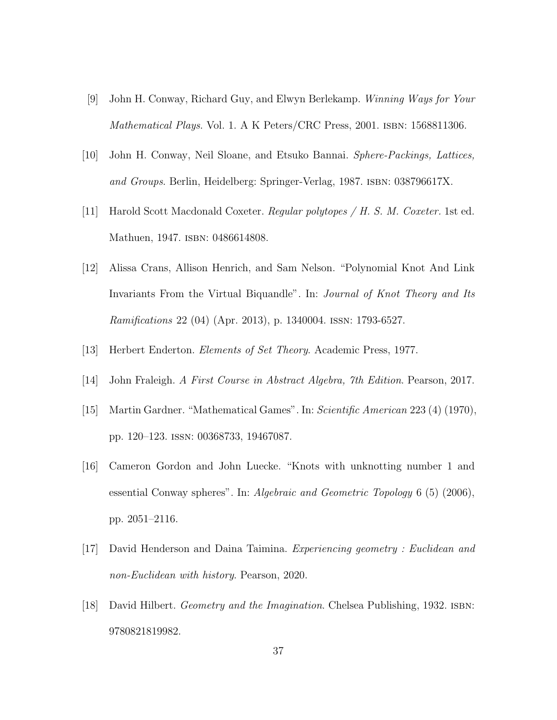- [9] John H. Conway, Richard Guy, and Elwyn Berlekamp. Winning Ways for Your Mathematical Plays. Vol. 1. A K Peters/CRC Press, 2001. ISBN: 1568811306.
- [10] John H. Conway, Neil Sloane, and Etsuko Bannai. Sphere-Packings, Lattices, and Groups. Berlin, Heidelberg: Springer-Verlag, 1987. isbn: 038796617X.
- [11] Harold Scott Macdonald Coxeter. Regular polytopes / H. S. M. Coxeter. 1st ed. Mathuen, 1947. ISBN: 0486614808.
- [12] Alissa Crans, Allison Henrich, and Sam Nelson. "Polynomial Knot And Link Invariants From the Virtual Biquandle". In: *Journal of Knot Theory and Its* Ramifications 22 (04) (Apr. 2013), p. 1340004. issn: 1793-6527.
- [13] Herbert Enderton. *Elements of Set Theory*. Academic Press, 1977.
- [14] John Fraleigh. A First Course in Abstract Algebra, 7th Edition. Pearson, 2017.
- [15] Martin Gardner. "Mathematical Games". In: Scientific American 223 (4) (1970), pp. 120–123. issn: 00368733, 19467087.
- [16] Cameron Gordon and John Luecke. "Knots with unknotting number 1 and essential Conway spheres". In: *Algebraic and Geometric Topology* 6 (5) (2006), pp. 2051–2116.
- [17] David Henderson and Daina Taimina. Experiencing geometry : Euclidean and non-Euclidean with history. Pearson, 2020.
- [18] David Hilbert. Geometry and the Imagination. Chelsea Publishing, 1932. ISBN: 9780821819982.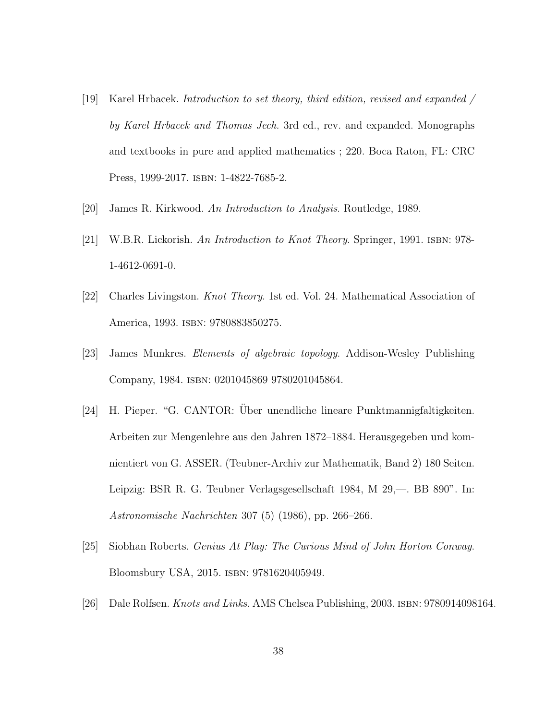- [19] Karel Hrbacek. Introduction to set theory, third edition, revised and expanded / by Karel Hrbacek and Thomas Jech. 3rd ed., rev. and expanded. Monographs and textbooks in pure and applied mathematics ; 220. Boca Raton, FL: CRC Press, 1999-2017. isbn: 1-4822-7685-2.
- [20] James R. Kirkwood. An Introduction to Analysis. Routledge, 1989.
- [21] W.B.R. Lickorish. An Introduction to Knot Theory. Springer, 1991. isbn: 978- 1-4612-0691-0.
- [22] Charles Livingston. Knot Theory. 1st ed. Vol. 24. Mathematical Association of America, 1993. isbn: 9780883850275.
- [23] James Munkres. Elements of algebraic topology. Addison-Wesley Publishing Company, 1984. isbn: 0201045869 9780201045864.
- [24] H. Pieper. "G. CANTOR: Uber unendliche lineare Punktmannigfaltigkeiten. ¨ Arbeiten zur Mengenlehre aus den Jahren 1872–1884. Herausgegeben und komnientiert von G. ASSER. (Teubner-Archiv zur Mathematik, Band 2) 180 Seiten. Leipzig: BSR R. G. Teubner Verlagsgesellschaft 1984, M 29,—. BB 890". In: Astronomische Nachrichten 307 (5) (1986), pp. 266–266.
- [25] Siobhan Roberts. Genius At Play: The Curious Mind of John Horton Conway. Bloomsbury USA, 2015. isbn: 9781620405949.
- [26] Dale Rolfsen. *Knots and Links*. AMS Chelsea Publishing, 2003. ISBN: 9780914098164.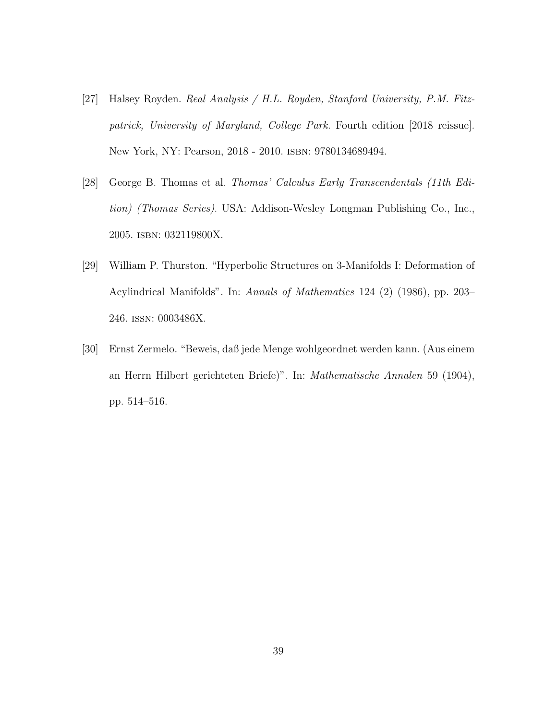- [27] Halsey Royden. Real Analysis / H.L. Royden, Stanford University, P.M. Fitzpatrick, University of Maryland, College Park. Fourth edition [2018 reissue]. New York, NY: Pearson, 2018 - 2010. isbn: 9780134689494.
- [28] George B. Thomas et al. Thomas' Calculus Early Transcendentals (11th Edition) (Thomas Series). USA: Addison-Wesley Longman Publishing Co., Inc., 2005. isbn: 032119800X.
- [29] William P. Thurston. "Hyperbolic Structures on 3-Manifolds I: Deformation of Acylindrical Manifolds". In: Annals of Mathematics 124 (2) (1986), pp. 203– 246. issn: 0003486X.
- [30] Ernst Zermelo. "Beweis, daß jede Menge wohlgeordnet werden kann. (Aus einem an Herrn Hilbert gerichteten Briefe)". In: Mathematische Annalen 59 (1904), pp. 514–516.